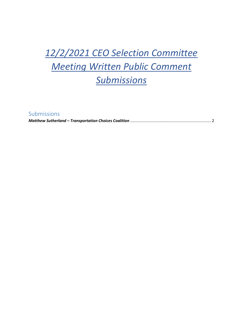## *12/2/2021 CEO Selection Committee Meeting Written Public Comment Submissions*

Submissions

*Matthew Sutherland – Transportation Choices Coalition* [..........................................................................2](#page-1-0)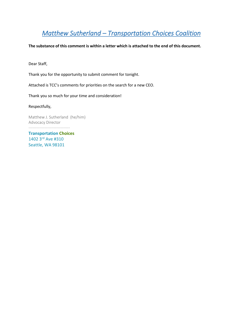## <span id="page-1-0"></span>*Matthew Sutherland – Transportation Choices Coalition*

**The substance of this comment is within a letter which is attached to the end of this document.**

Dear Staff,

Thank you for the opportunity to submit comment for tonight.

Attached is TCC's comments for priorities on the search for a new CEO.

Thank you so much for your time and consideration!

Respectfully,

Matthew J. Sutherland (he/him) Advocacy Director -------------------------------

**Transportation Choices**  1402 3rd Ave #310 Seattle, WA 98101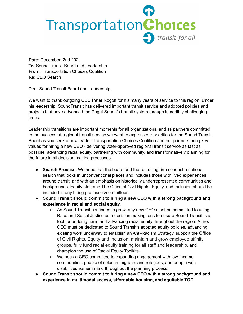## TransportationChoices transit for all

**Date**: December, 2nd 2021 **To**: Sound Transit Board and Leadership **From**: Transportation Choices Coalition **Re**: CEO Search

Dear Sound Transit Board and Leadership,

We want to thank outgoing CEO Peter Rogoff for his many years of service to this region. Under his leadership, SoundTransit has delivered important transit service and adopted policies and projects that have advanced the Puget Sound's transit system through incredibly challenging times.

Leadership transitions are important moments for all organizations, and as partners committed to the success of regional transit service we want to express our priorities for the Sound Transit Board as you seek a new leader. Transportation Choices Coalition and our partners bring key values for hiring a new CEO - delivering voter-approved regional transit service as fast as possible, advancing racial equity, partnering with community, and transformatively planning for the future in all decision making processes.

- **● Search Process.** We hope that the board and the recruiting firm conduct a national search that looks in unconventional places and includes those with lived experiences around transit, and with an emphasis on historically underrepresented communities and backgrounds. Equity staff and The Office of Civil Rights, Equity, and Inclusion should be included in any hiring processes/committees.
- **● Sound Transit should commit to hiring a new CEO with a strong background and experience in racial and social equity.**
	- **○** As Sound Transit continues to grow, any new CEO must be committed to using Race and Social Justice as a decision making lens to ensure Sound Transit is a tool for undoing harm and advancing racial equity throughout the region*.* A new CEO must be dedicated to Sound Transit's adopted equity policies, advancing existing work underway to establish an Anti-Racism Strategy, support the Office of Civil Rights, Equity and Inclusion, maintain and grow employee affinity groups, fully fund racial equity training for all staff and leadership, and champion the use of Racial Equity Toolkits.
	- $\circ$  We seek a CEO committed to expanding engagement with low-income communities, people of color, immigrants and refugees, and people with disabilities earlier in and throughout the planning process.
- **● Sound Transit should commit to hiring a new CEO with a strong background and experience in multimodal access, affordable housing, and equitable TOD.**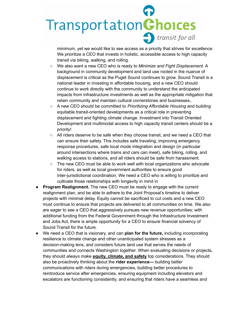## TransportationChoices **b** transit for all *Multimodal Access, Mobility, and Integration.* ADA compliance is the legal

minimum, yet we would like to see access as a priority that strives for excellence. We prioritize a CEO that invests in holistic, accessible access to high capacity transit via biking, walking, and rolling.

- **○** We also want a new CEO who is ready to *Minimize and Fight Displacement.* A background in community development and land use rooted in the nuance of displacement is critical as the Puget Sound continues to grow. Sound Transit is a national leader in investing in affordable housing, and a new CEO should continue to work directly with the community to understand the anticipated impacts from infrastructure investments as well as the appropriate mitigation that retain community and maintain cultural cornerstones and businesses..
- **○** A new CEO should be committed to *Prioritizing Affordable Housing* and building equitable transit-oriented developments as a critical role in preventing displacement and fighting climate change. Investment into Transit Oriented Development and multimodal access to high capacity transit centers should be a priority!
- All riders deserve to be safe when they choose transit, and we need a CEO that can ensure their safety. This includes safe traveling, improving emergency response procedures, safe local mode integration and design (in particular around intersections where trains and cars can meet), safe biking, rolling, and walking access to stations, and all riders should be safe from harassment.
- $\circ$  The new CEO must be able to work well with local organizations who advocate for riders, as well as local government authorities to ensure good inter-jurisdictional coordination. We need a CEO who is willing to prioritize and cultivate those relationships with longevity in mind in
- **Program Realignment.** The new CEO must be ready to engage with the current realignment plan, and be able to adhere to the Joint Proposal's timeline to deliver projects with minimal delay. Equity cannot be sacrificed to cut costs and a new CEO must continue to ensure that projects are delivered to all communities on time. We also are eager to see a CEO that aggressively pursues new revenue opportunities; with additional funding from the Federal Government through the Infrastructure Investment and Jobs Act, there is ample opportunity for a CEO to ensure financial solvency of Sound Transit for the future.
- We need a CEO that is visionary, and can **plan for the future,** including incorporating resilience to climate change and other unanticipated system stresses as a decision-making lens, and considers future land use that serves the needs of communities and connects Washington together. When evaluating decisions or projects, they should *always* make **equity, climate, and safety** top considerations. They should also be proactively thinking about the **rider experience—** building better communications with riders during emergencies, building better procedures to reintroduce service after emergencies, ensuring equipment including elevators and escalators are functioning consistently, and ensuring that riders have a seamless and